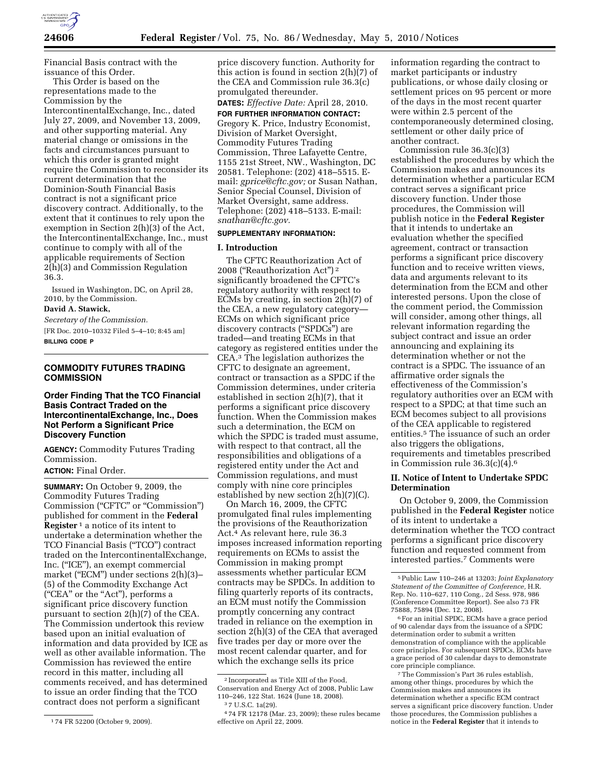

Financial Basis contract with the issuance of this Order.

This Order is based on the representations made to the Commission by the IntercontinentalExchange, Inc., dated July 27, 2009, and November 13, 2009, and other supporting material. Any material change or omissions in the facts and circumstances pursuant to which this order is granted might require the Commission to reconsider its current determination that the Dominion-South Financial Basis contract is not a significant price discovery contract. Additionally, to the extent that it continues to rely upon the exemption in Section 2(h)(3) of the Act, the IntercontinentalExchange, Inc., must continue to comply with all of the applicable requirements of Section 2(h)(3) and Commission Regulation 36.3.

Issued in Washington, DC, on April 28, 2010, by the Commission.

**David A. Stawick,** 

*Secretary of the Commission.*  [FR Doc. 2010–10332 Filed 5–4–10; 8:45 am] **BILLING CODE P** 

# **COMMODITY FUTURES TRADING COMMISSION**

# **Order Finding That the TCO Financial Basis Contract Traded on the IntercontinentalExchange, Inc., Does Not Perform a Significant Price Discovery Function**

**AGENCY:** Commodity Futures Trading Commission.

# **ACTION:** Final Order.

**SUMMARY:** On October 9, 2009, the Commodity Futures Trading Commission (''CFTC'' or ''Commission'') published for comment in the **Federal Register** 1 a notice of its intent to undertake a determination whether the TCO Financial Basis (''TCO'') contract traded on the IntercontinentalExchange, Inc. (''ICE''), an exempt commercial market ("ECM") under sections 2(h)(3)-(5) of the Commodity Exchange Act (''CEA'' or the ''Act''), performs a significant price discovery function pursuant to section 2(h)(7) of the CEA. The Commission undertook this review based upon an initial evaluation of information and data provided by ICE as well as other available information. The Commission has reviewed the entire record in this matter, including all comments received, and has determined to issue an order finding that the TCO contract does not perform a significant

price discovery function. Authority for this action is found in section 2(h)(7) of the CEA and Commission rule 36.3(c) promulgated thereunder.

**DATES:** *Effective Date:* April 28, 2010.

# **FOR FURTHER INFORMATION CONTACT:**

Gregory K. Price, Industry Economist, Division of Market Oversight, Commodity Futures Trading Commission, Three Lafayette Centre, 1155 21st Street, NW., Washington, DC 20581. Telephone: (202) 418–5515. Email: *gprice@cftc.gov;* or Susan Nathan, Senior Special Counsel, Division of Market Oversight, same address. Telephone: (202) 418–5133. E-mail: *snathan@cftc.gov.* 

### **SUPPLEMENTARY INFORMATION:**

#### **I. Introduction**

The CFTC Reauthorization Act of 2008 (''Reauthorization Act'') 2 significantly broadened the CFTC's regulatory authority with respect to ECMs by creating, in section 2(h)(7) of the CEA, a new regulatory category— ECMs on which significant price discovery contracts ("SPDCs") are traded—and treating ECMs in that category as registered entities under the CEA.3 The legislation authorizes the CFTC to designate an agreement, contract or transaction as a SPDC if the Commission determines, under criteria established in section 2(h)(7), that it performs a significant price discovery function. When the Commission makes such a determination, the ECM on which the SPDC is traded must assume, with respect to that contract, all the responsibilities and obligations of a registered entity under the Act and Commission regulations, and must comply with nine core principles established by new section 2(h)(7)(C).

On March 16, 2009, the CFTC promulgated final rules implementing the provisions of the Reauthorization Act.4 As relevant here, rule 36.3 imposes increased information reporting requirements on ECMs to assist the Commission in making prompt assessments whether particular ECM contracts may be SPDCs. In addition to filing quarterly reports of its contracts, an ECM must notify the Commission promptly concerning any contract traded in reliance on the exemption in section 2(h)(3) of the CEA that averaged five trades per day or more over the most recent calendar quarter, and for which the exchange sells its price

information regarding the contract to market participants or industry publications, or whose daily closing or settlement prices on 95 percent or more of the days in the most recent quarter were within 2.5 percent of the contemporaneously determined closing, settlement or other daily price of another contract.

Commission rule 36.3(c)(3) established the procedures by which the Commission makes and announces its determination whether a particular ECM contract serves a significant price discovery function. Under those procedures, the Commission will publish notice in the **Federal Register**  that it intends to undertake an evaluation whether the specified agreement, contract or transaction performs a significant price discovery function and to receive written views, data and arguments relevant to its determination from the ECM and other interested persons. Upon the close of the comment period, the Commission will consider, among other things, all relevant information regarding the subject contract and issue an order announcing and explaining its determination whether or not the contract is a SPDC. The issuance of an affirmative order signals the effectiveness of the Commission's regulatory authorities over an ECM with respect to a SPDC; at that time such an ECM becomes subject to all provisions of the CEA applicable to registered entities.5 The issuance of such an order also triggers the obligations, requirements and timetables prescribed in Commission rule  $36.3(c)(4)$ .<sup>6</sup>

#### **II. Notice of Intent to Undertake SPDC Determination**

On October 9, 2009, the Commission published in the **Federal Register** notice of its intent to undertake a determination whether the TCO contract performs a significant price discovery function and requested comment from interested parties.7 Comments were

<sup>1</sup> 74 FR 52200 (October 9, 2009).

<sup>2</sup> Incorporated as Title XIII of the Food, Conservation and Energy Act of 2008, Public Law 110–246, 122 Stat. 1624 (June 18, 2008).

<sup>3</sup> 7 U.S.C. 1a(29).

<sup>4</sup> 74 FR 12178 (Mar. 23, 2009); these rules became effective on April 22, 2009.

<sup>5</sup>Public Law 110–246 at 13203; *Joint Explanatory Statement of the Committee of Conference,* H.R. Rep. No. 110–627, 110 Cong., 2d Sess. 978, 986 (Conference Committee Report). See also 73 FR 75888, 75894 (Dec. 12, 2008).

<sup>6</sup>For an initial SPDC, ECMs have a grace period of 90 calendar days from the issuance of a SPDC determination order to submit a written demonstration of compliance with the applicable core principles. For subsequent SPDCs, ECMs have a grace period of 30 calendar days to demonstrate core principle compliance.

<sup>7</sup>The Commission's Part 36 rules establish, among other things, procedures by which the Commission makes and announces its determination whether a specific ECM contract serves a significant price discovery function. Under those procedures, the Commission publishes a notice in the **Federal Register** that it intends to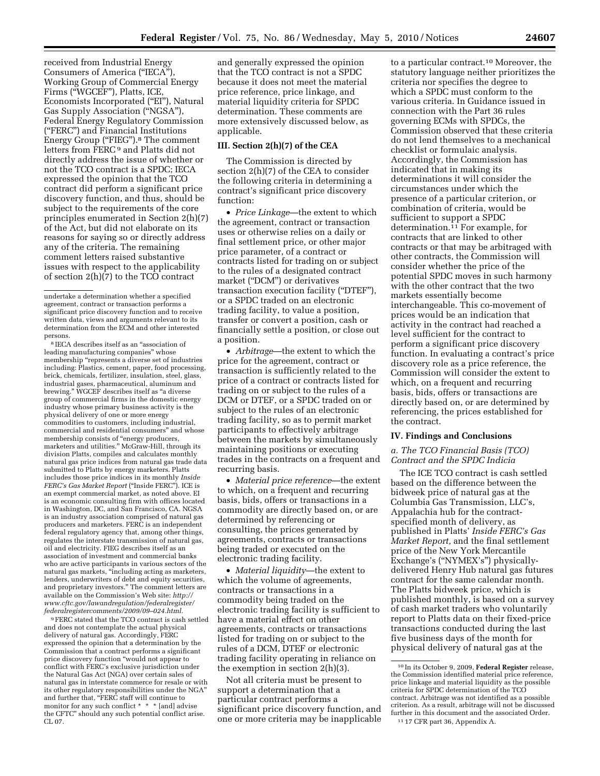received from Industrial Energy Consumers of America (''IECA''), Working Group of Commercial Energy Firms (''WGCEF''), Platts, ICE, Economists Incorporated (''EI''), Natural Gas Supply Association (''NGSA''), Federal Energy Regulatory Commission (''FERC'') and Financial Institutions Energy Group ("FIEG").<sup>8</sup> The comment letters from FERC<sup>9</sup> and Platts did not directly address the issue of whether or not the TCO contract is a SPDC; IECA expressed the opinion that the TCO contract did perform a significant price discovery function, and thus, should be subject to the requirements of the core principles enumerated in Section 2(h)(7) of the Act, but did not elaborate on its reasons for saying so or directly address any of the criteria. The remaining comment letters raised substantive issues with respect to the applicability of section 2(h)(7) to the TCO contract

8 IECA describes itself as an ''association of leading manufacturing companies'' whose membership "represents a diverse set of industries including: Plastics, cement, paper, food processing, brick, chemicals, fertilizer, insulation, steel, glass, industrial gases, pharmaceutical, aluminum and brewing.'' WGCEF describes itself as ''a diverse group of commercial firms in the domestic energy industry whose primary business activity is the physical delivery of one or more energy commodities to customers, including industrial, commercial and residential consumers'' and whose membership consists of "energy producers, marketers and utilities.'' McGraw-Hill, through its division Platts, compiles and calculates monthly natural gas price indices from natural gas trade data submitted to Platts by energy marketers. Platts includes those price indices in its monthly *Inside FERC's Gas Market Report* (''Inside FERC''). ICE is an exempt commercial market, as noted above. EI is an economic consulting firm with offices located in Washington, DC, and San Francisco, CA. NGSA is an industry association comprised of natural gas producers and marketers. FERC is an independent federal regulatory agency that, among other things, regulates the interstate transmission of natural gas, oil and electricity. FIEG describes itself as an association of investment and commercial banks who are active participants in various sectors of the natural gas markets, ''including acting as marketers, lenders, underwriters of debt and equity securities, and proprietary investors.'' The comment letters are available on the Commission's Web site: *http:// www.cftc.gov/lawandregulation/federalregister/ federalregistercomments/2009/09–024.html.* 

9FERC stated that the TCO contract is cash settled and does not contemplate the actual physical delivery of natural gas. Accordingly, FERC expressed the opinion that a determination by the Commission that a contract performs a significant price discovery function ''would not appear to conflict with FERC's exclusive jurisdiction under the Natural Gas Act (NGA) over certain sales of natural gas in interstate commerce for resale or with its other regulatory responsibilities under the NGA'' and further that, "FERC staff will continue to monitor for any such conflict \* \* \* [and] advise the CFTC'' should any such potential conflict arise. CL 07.

and generally expressed the opinion that the TCO contract is not a SPDC because it does not meet the material price reference, price linkage, and material liquidity criteria for SPDC determination. These comments are more extensively discussed below, as applicable.

### **III. Section 2(h)(7) of the CEA**

The Commission is directed by section 2(h)(7) of the CEA to consider the following criteria in determining a contract's significant price discovery function:

• *Price Linkage*—the extent to which the agreement, contract or transaction uses or otherwise relies on a daily or final settlement price, or other major price parameter, of a contract or contracts listed for trading on or subject to the rules of a designated contract market ("DCM") or derivatives transaction execution facility (''DTEF''), or a SPDC traded on an electronic trading facility, to value a position, transfer or convert a position, cash or financially settle a position, or close out a position.

• *Arbitrage*—the extent to which the price for the agreement, contract or transaction is sufficiently related to the price of a contract or contracts listed for trading on or subject to the rules of a DCM or DTEF, or a SPDC traded on or subject to the rules of an electronic trading facility, so as to permit market participants to effectively arbitrage between the markets by simultaneously maintaining positions or executing trades in the contracts on a frequent and recurring basis.

• *Material price reference*—the extent to which, on a frequent and recurring basis, bids, offers or transactions in a commodity are directly based on, or are determined by referencing or consulting, the prices generated by agreements, contracts or transactions being traded or executed on the electronic trading facility.

• *Material liquidity*—the extent to which the volume of agreements, contracts or transactions in a commodity being traded on the electronic trading facility is sufficient to have a material effect on other agreements, contracts or transactions listed for trading on or subject to the rules of a DCM, DTEF or electronic trading facility operating in reliance on the exemption in section 2(h)(3).

Not all criteria must be present to support a determination that a particular contract performs a significant price discovery function, and one or more criteria may be inapplicable

to a particular contract.10 Moreover, the statutory language neither prioritizes the criteria nor specifies the degree to which a SPDC must conform to the various criteria. In Guidance issued in connection with the Part 36 rules governing ECMs with SPDCs, the Commission observed that these criteria do not lend themselves to a mechanical checklist or formulaic analysis. Accordingly, the Commission has indicated that in making its determinations it will consider the circumstances under which the presence of a particular criterion, or combination of criteria, would be sufficient to support a SPDC determination.11 For example, for contracts that are linked to other contracts or that may be arbitraged with other contracts, the Commission will consider whether the price of the potential SPDC moves in such harmony with the other contract that the two markets essentially become interchangeable. This co-movement of prices would be an indication that activity in the contract had reached a level sufficient for the contract to perform a significant price discovery function. In evaluating a contract's price discovery role as a price reference, the Commission will consider the extent to which, on a frequent and recurring basis, bids, offers or transactions are directly based on, or are determined by referencing, the prices established for the contract.

#### **IV. Findings and Conclusions**

#### *a. The TCO Financial Basis (TCO) Contract and the SPDC Indicia*

The ICE TCO contract is cash settled based on the difference between the bidweek price of natural gas at the Columbia Gas Transmission, LLC's, Appalachia hub for the contractspecified month of delivery, as published in Platts' *Inside FERC's Gas Market Report,* and the final settlement price of the New York Mercantile Exchange's (''NYMEX's'') physicallydelivered Henry Hub natural gas futures contract for the same calendar month. The Platts bidweek price, which is published monthly, is based on a survey of cash market traders who voluntarily report to Platts data on their fixed-price transactions conducted during the last five business days of the month for physical delivery of natural gas at the

undertake a determination whether a specified agreement, contract or transaction performs a significant price discovery function and to receive written data, views and arguments relevant to its determination from the ECM and other interested persons.

<sup>10</sup> In its October 9, 2009, **Federal Register** release, the Commission identified material price reference, price linkage and material liquidity as the possible criteria for SPDC determination of the TCO contract. Arbitrage was not identified as a possible criterion. As a result, arbitrage will not be discussed further in this document and the associated Order. 11 17 CFR part 36, Appendix A.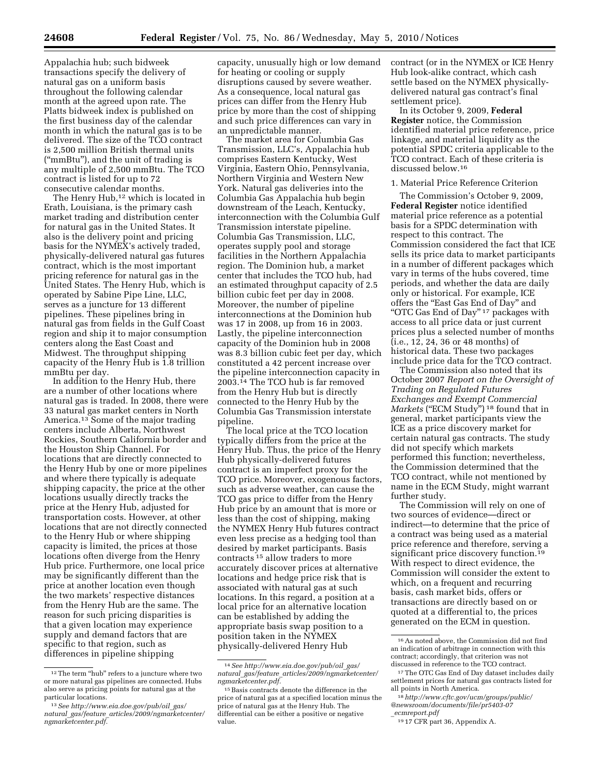Appalachia hub; such bidweek transactions specify the delivery of natural gas on a uniform basis throughout the following calendar month at the agreed upon rate. The Platts bidweek index is published on the first business day of the calendar month in which the natural gas is to be delivered. The size of the TCO contract is 2,500 million British thermal units (''mmBtu''), and the unit of trading is any multiple of 2,500 mmBtu. The TCO contract is listed for up to 72 consecutive calendar months.

The Henry Hub,<sup>12</sup> which is located in Erath, Louisiana, is the primary cash market trading and distribution center for natural gas in the United States. It also is the delivery point and pricing basis for the NYMEX's actively traded, physically-delivered natural gas futures contract, which is the most important pricing reference for natural gas in the United States. The Henry Hub, which is operated by Sabine Pipe Line, LLC, serves as a juncture for 13 different pipelines. These pipelines bring in natural gas from fields in the Gulf Coast region and ship it to major consumption centers along the East Coast and Midwest. The throughput shipping capacity of the Henry Hub is 1.8 trillion mmBtu per day.

In addition to the Henry Hub, there are a number of other locations where natural gas is traded. In 2008, there were 33 natural gas market centers in North America.13 Some of the major trading centers include Alberta, Northwest Rockies, Southern California border and the Houston Ship Channel. For locations that are directly connected to the Henry Hub by one or more pipelines and where there typically is adequate shipping capacity, the price at the other locations usually directly tracks the price at the Henry Hub, adjusted for transportation costs. However, at other locations that are not directly connected to the Henry Hub or where shipping capacity is limited, the prices at those locations often diverge from the Henry Hub price. Furthermore, one local price may be significantly different than the price at another location even though the two markets' respective distances from the Henry Hub are the same. The reason for such pricing disparities is that a given location may experience supply and demand factors that are specific to that region, such as differences in pipeline shipping

capacity, unusually high or low demand for heating or cooling or supply disruptions caused by severe weather. As a consequence, local natural gas prices can differ from the Henry Hub price by more than the cost of shipping and such price differences can vary in an unpredictable manner.

The market area for Columbia Gas Transmission, LLC's, Appalachia hub comprises Eastern Kentucky, West Virginia, Eastern Ohio, Pennsylvania, Northern Virginia and Western New York. Natural gas deliveries into the Columbia Gas Appalachia hub begin downstream of the Leach, Kentucky, interconnection with the Columbia Gulf Transmission interstate pipeline. Columbia Gas Transmission, LLC, operates supply pool and storage facilities in the Northern Appalachia region. The Dominion hub, a market center that includes the TCO hub, had an estimated throughput capacity of 2.5 billion cubic feet per day in 2008. Moreover, the number of pipeline interconnections at the Dominion hub was 17 in 2008, up from 16 in 2003. Lastly, the pipeline interconnection capacity of the Dominion hub in 2008 was 8.3 billion cubic feet per day, which constituted a 42 percent increase over the pipeline interconnection capacity in 2003.14 The TCO hub is far removed from the Henry Hub but is directly connected to the Henry Hub by the Columbia Gas Transmission interstate pipeline.

The local price at the TCO location typically differs from the price at the Henry Hub. Thus, the price of the Henry Hub physically-delivered futures contract is an imperfect proxy for the TCO price. Moreover, exogenous factors, such as adverse weather, can cause the TCO gas price to differ from the Henry Hub price by an amount that is more or less than the cost of shipping, making the NYMEX Henry Hub futures contract even less precise as a hedging tool than desired by market participants. Basis contracts 15 allow traders to more accurately discover prices at alternative locations and hedge price risk that is associated with natural gas at such locations. In this regard, a position at a local price for an alternative location can be established by adding the appropriate basis swap position to a position taken in the NYMEX physically-delivered Henry Hub

contract (or in the NYMEX or ICE Henry Hub look-alike contract, which cash settle based on the NYMEX physicallydelivered natural gas contract's final settlement price).

In its October 9, 2009, **Federal Register** notice, the Commission identified material price reference, price linkage, and material liquidity as the potential SPDC criteria applicable to the TCO contract. Each of these criteria is discussed below.16

#### 1. Material Price Reference Criterion

The Commission's October 9, 2009, **Federal Register** notice identified material price reference as a potential basis for a SPDC determination with respect to this contract. The Commission considered the fact that ICE sells its price data to market participants in a number of different packages which vary in terms of the hubs covered, time periods, and whether the data are daily only or historical. For example, ICE offers the ''East Gas End of Day'' and "OTC Gas End of Day"<sup>17</sup> packages with access to all price data or just current prices plus a selected number of months (i.e., 12, 24, 36 or 48 months) of historical data. These two packages include price data for the TCO contract.

The Commission also noted that its October 2007 *Report on the Oversight of Trading on Regulated Futures Exchanges and Exempt Commercial Markets* ("ECM Study")<sup>18</sup> found that in general, market participants view the ICE as a price discovery market for certain natural gas contracts. The study did not specify which markets performed this function; nevertheless, the Commission determined that the TCO contract, while not mentioned by name in the ECM Study, might warrant further study.

The Commission will rely on one of two sources of evidence—direct or indirect—to determine that the price of a contract was being used as a material price reference and therefore, serving a significant price discovery function.<sup>19</sup> With respect to direct evidence, the Commission will consider the extent to which, on a frequent and recurring basis, cash market bids, offers or transactions are directly based on or quoted at a differential to, the prices generated on the ECM in question.

<sup>&</sup>lt;sup>12</sup>The term "hub" refers to a juncture where two or more natural gas pipelines are connected. Hubs also serve as pricing points for natural gas at the particular locations.

<sup>13</sup>*See http://www.eia.doe.gov/pub/oil*\_*gas/ natural*\_*gas/feature*\_*articles/2009/ngmarketcenter/ ngmarketcenter.pdf.* 

<sup>14</sup>*See http://www.eia.doe.gov/pub/oil*\_*gas/ natural*\_*gas/feature*\_*articles/2009/ngmarketcenter/ ngmarketcenter.pdf.* 

<sup>15</sup>Basis contracts denote the difference in the price of natural gas at a specified location minus the price of natural gas at the Henry Hub. The differential can be either a positive or negative value.

<sup>16</sup>As noted above, the Commission did not find an indication of arbitrage in connection with this contract; accordingly, that criterion was not discussed in reference to the TCO contract.

<sup>17</sup>The OTC Gas End of Day dataset includes daily settlement prices for natural gas contracts listed for all points in North America.

<sup>18</sup>*http://www.cftc.gov/ucm/groups/public/ @newsroom/documents/file/pr5403-07* \_*ecmreport.pdf* 

<sup>19</sup> 17 CFR part 36, Appendix A.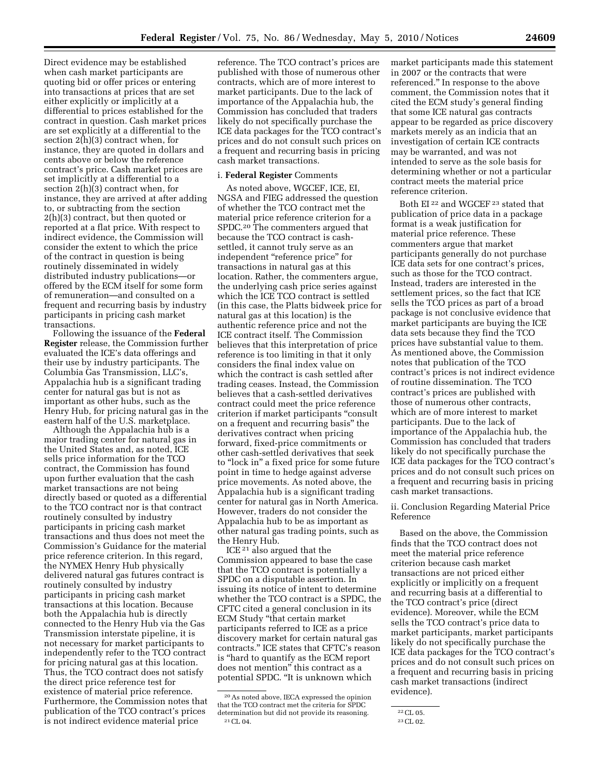Direct evidence may be established when cash market participants are quoting bid or offer prices or entering into transactions at prices that are set either explicitly or implicitly at a differential to prices established for the contract in question. Cash market prices are set explicitly at a differential to the section 2(h)(3) contract when, for instance, they are quoted in dollars and cents above or below the reference contract's price. Cash market prices are set implicitly at a differential to a section 2(h)(3) contract when, for instance, they are arrived at after adding to, or subtracting from the section 2(h)(3) contract, but then quoted or reported at a flat price. With respect to indirect evidence, the Commission will consider the extent to which the price of the contract in question is being routinely disseminated in widely distributed industry publications—or offered by the ECM itself for some form of remuneration—and consulted on a frequent and recurring basis by industry participants in pricing cash market transactions.

Following the issuance of the **Federal Register** release, the Commission further evaluated the ICE's data offerings and their use by industry participants. The Columbia Gas Transmission, LLC's, Appalachia hub is a significant trading center for natural gas but is not as important as other hubs, such as the Henry Hub, for pricing natural gas in the eastern half of the U.S. marketplace.

Although the Appalachia hub is a major trading center for natural gas in the United States and, as noted, ICE sells price information for the TCO contract, the Commission has found upon further evaluation that the cash market transactions are not being directly based or quoted as a differential to the TCO contract nor is that contract routinely consulted by industry participants in pricing cash market transactions and thus does not meet the Commission's Guidance for the material price reference criterion. In this regard, the NYMEX Henry Hub physically delivered natural gas futures contract is routinely consulted by industry participants in pricing cash market transactions at this location. Because both the Appalachia hub is directly connected to the Henry Hub via the Gas Transmission interstate pipeline, it is not necessary for market participants to independently refer to the TCO contract for pricing natural gas at this location. Thus, the TCO contract does not satisfy the direct price reference test for existence of material price reference. Furthermore, the Commission notes that publication of the TCO contract's prices is not indirect evidence material price

reference. The TCO contract's prices are published with those of numerous other contracts, which are of more interest to market participants. Due to the lack of importance of the Appalachia hub, the Commission has concluded that traders likely do not specifically purchase the ICE data packages for the TCO contract's prices and do not consult such prices on a frequent and recurring basis in pricing cash market transactions.

# i. **Federal Register** Comments

As noted above, WGCEF, ICE, EI, NGSA and FIEG addressed the question of whether the TCO contract met the material price reference criterion for a SPDC.20 The commenters argued that because the TCO contract is cashsettled, it cannot truly serve as an independent ''reference price'' for transactions in natural gas at this location. Rather, the commenters argue, the underlying cash price series against which the ICE TCO contract is settled (in this case, the Platts bidweek price for natural gas at this location) is the authentic reference price and not the ICE contract itself. The Commission believes that this interpretation of price reference is too limiting in that it only considers the final index value on which the contract is cash settled after trading ceases. Instead, the Commission believes that a cash-settled derivatives contract could meet the price reference criterion if market participants ''consult on a frequent and recurring basis'' the derivatives contract when pricing forward, fixed-price commitments or other cash-settled derivatives that seek to "lock in" a fixed price for some future point in time to hedge against adverse price movements. As noted above, the Appalachia hub is a significant trading center for natural gas in North America. However, traders do not consider the Appalachia hub to be as important as other natural gas trading points, such as the Henry Hub.

ICE 21 also argued that the Commission appeared to base the case that the TCO contract is potentially a SPDC on a disputable assertion. In issuing its notice of intent to determine whether the TCO contract is a SPDC, the CFTC cited a general conclusion in its ECM Study ''that certain market participants referred to ICE as a price discovery market for certain natural gas contracts.'' ICE states that CFTC's reason is ''hard to quantify as the ECM report does not mention'' this contract as a potential SPDC. ''It is unknown which

market participants made this statement in 2007 or the contracts that were referenced.'' In response to the above comment, the Commission notes that it cited the ECM study's general finding that some ICE natural gas contracts appear to be regarded as price discovery markets merely as an indicia that an investigation of certain ICE contracts may be warranted, and was not intended to serve as the sole basis for determining whether or not a particular contract meets the material price reference criterion.

Both EI 22 and WGCEF 23 stated that publication of price data in a package format is a weak justification for material price reference. These commenters argue that market participants generally do not purchase ICE data sets for one contract's prices, such as those for the TCO contract. Instead, traders are interested in the settlement prices, so the fact that ICE sells the TCO prices as part of a broad package is not conclusive evidence that market participants are buying the ICE data sets because they find the TCO prices have substantial value to them. As mentioned above, the Commission notes that publication of the TCO contract's prices is not indirect evidence of routine dissemination. The TCO contract's prices are published with those of numerous other contracts, which are of more interest to market participants. Due to the lack of importance of the Appalachia hub, the Commission has concluded that traders likely do not specifically purchase the ICE data packages for the TCO contract's prices and do not consult such prices on a frequent and recurring basis in pricing cash market transactions.

ii. Conclusion Regarding Material Price Reference

Based on the above, the Commission finds that the TCO contract does not meet the material price reference criterion because cash market transactions are not priced either explicitly or implicitly on a frequent and recurring basis at a differential to the TCO contract's price (direct evidence). Moreover, while the ECM sells the TCO contract's price data to market participants, market participants likely do not specifically purchase the ICE data packages for the TCO contract's prices and do not consult such prices on a frequent and recurring basis in pricing cash market transactions (indirect evidence).

<sup>20</sup>As noted above, IECA expressed the opinion that the TCO contract met the criteria for SPDC determination but did not provide its reasoning. 21CL 04.

<sup>22</sup>CL 05.

<sup>23</sup>CL 02.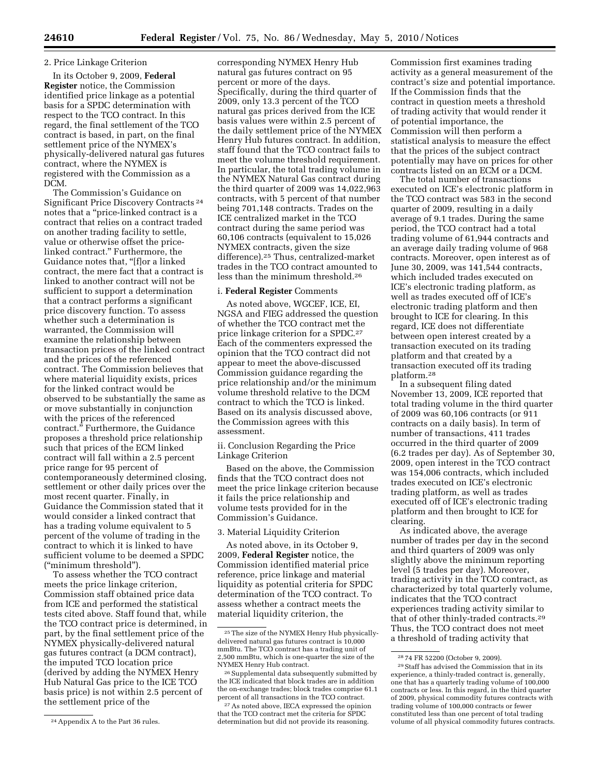## 2. Price Linkage Criterion

In its October 9, 2009, **Federal Register** notice, the Commission identified price linkage as a potential basis for a SPDC determination with respect to the TCO contract. In this regard, the final settlement of the TCO contract is based, in part, on the final settlement price of the NYMEX's physically-delivered natural gas futures contract, where the NYMEX is registered with the Commission as a DCM.

The Commission's Guidance on Significant Price Discovery Contracts 24 notes that a ''price-linked contract is a contract that relies on a contract traded on another trading facility to settle, value or otherwise offset the pricelinked contract.'' Furthermore, the Guidance notes that, ''[f]or a linked contract, the mere fact that a contract is linked to another contract will not be sufficient to support a determination that a contract performs a significant price discovery function. To assess whether such a determination is warranted, the Commission will examine the relationship between transaction prices of the linked contract and the prices of the referenced contract. The Commission believes that where material liquidity exists, prices for the linked contract would be observed to be substantially the same as or move substantially in conjunction with the prices of the referenced contract.'' Furthermore, the Guidance proposes a threshold price relationship such that prices of the ECM linked contract will fall within a 2.5 percent price range for 95 percent of contemporaneously determined closing, settlement or other daily prices over the most recent quarter. Finally, in Guidance the Commission stated that it would consider a linked contract that has a trading volume equivalent to 5 percent of the volume of trading in the contract to which it is linked to have sufficient volume to be deemed a SPDC (''minimum threshold'').

To assess whether the TCO contract meets the price linkage criterion, Commission staff obtained price data from ICE and performed the statistical tests cited above. Staff found that, while the TCO contract price is determined, in part, by the final settlement price of the NYMEX physically-delivered natural gas futures contract (a DCM contract), the imputed TCO location price (derived by adding the NYMEX Henry Hub Natural Gas price to the ICE TCO basis price) is not within 2.5 percent of the settlement price of the

corresponding NYMEX Henry Hub natural gas futures contract on 95 percent or more of the days. Specifically, during the third quarter of 2009, only 13.3 percent of the TCO natural gas prices derived from the ICE basis values were within 2.5 percent of the daily settlement price of the NYMEX Henry Hub futures contract. In addition, staff found that the TCO contract fails to meet the volume threshold requirement. In particular, the total trading volume in the NYMEX Natural Gas contract during the third quarter of 2009 was 14,022,963 contracts, with 5 percent of that number being 701,148 contracts. Trades on the ICE centralized market in the TCO contract during the same period was 60,106 contracts (equivalent to 15,026 NYMEX contracts, given the size difference).25 Thus, centralized-market trades in the TCO contract amounted to less than the minimum threshold.26

#### i. **Federal Register** Comments

As noted above, WGCEF, ICE, EI, NGSA and FIEG addressed the question of whether the TCO contract met the price linkage criterion for a SPDC.27 Each of the commenters expressed the opinion that the TCO contract did not appear to meet the above-discussed Commission guidance regarding the price relationship and/or the minimum volume threshold relative to the DCM contract to which the TCO is linked. Based on its analysis discussed above, the Commission agrees with this assessment.

ii. Conclusion Regarding the Price Linkage Criterion

Based on the above, the Commission finds that the TCO contract does not meet the price linkage criterion because it fails the price relationship and volume tests provided for in the Commission's Guidance.

## 3. Material Liquidity Criterion

As noted above, in its October 9, 2009, **Federal Register** notice, the Commission identified material price reference, price linkage and material liquidity as potential criteria for SPDC determination of the TCO contract. To assess whether a contract meets the material liquidity criterion, the

27As noted above, IECA expressed the opinion that the TCO contract met the criteria for SPDC determination but did not provide its reasoning.

Commission first examines trading activity as a general measurement of the contract's size and potential importance. If the Commission finds that the contract in question meets a threshold of trading activity that would render it of potential importance, the Commission will then perform a statistical analysis to measure the effect that the prices of the subject contract potentially may have on prices for other contracts listed on an ECM or a DCM.

The total number of transactions executed on ICE's electronic platform in the TCO contract was 583 in the second quarter of 2009, resulting in a daily average of 9.1 trades. During the same period, the TCO contract had a total trading volume of 61,944 contracts and an average daily trading volume of 968 contracts. Moreover, open interest as of June 30, 2009, was 141,544 contracts, which included trades executed on ICE's electronic trading platform, as well as trades executed off of ICE's electronic trading platform and then brought to ICE for clearing. In this regard, ICE does not differentiate between open interest created by a transaction executed on its trading platform and that created by a transaction executed off its trading platform.28

In a subsequent filing dated November 13, 2009, ICE reported that total trading volume in the third quarter of 2009 was 60,106 contracts (or 911 contracts on a daily basis). In term of number of transactions, 411 trades occurred in the third quarter of 2009 (6.2 trades per day). As of September 30, 2009, open interest in the TCO contract was 154,006 contracts, which included trades executed on ICE's electronic trading platform, as well as trades executed off of ICE's electronic trading platform and then brought to ICE for clearing.

As indicated above, the average number of trades per day in the second and third quarters of 2009 was only slightly above the minimum reporting level (5 trades per day). Moreover, trading activity in the TCO contract, as characterized by total quarterly volume, indicates that the TCO contract experiences trading activity similar to that of other thinly-traded contracts.29 Thus, the TCO contract does not meet a threshold of trading activity that

<sup>24</sup>Appendix A to the Part 36 rules.

<sup>25</sup>The size of the NYMEX Henry Hub physicallydelivered natural gas futures contract is 10,000 mmBtu. The TCO contract has a trading unit of 2,500 mmBtu, which is one-quarter the size of the NYMEX Henry Hub contract.

<sup>26</sup>Supplemental data subsequently submitted by the ICE indicated that block trades are in addition the on-exchange trades; block trades comprise 61.1 percent of all transactions in the TCO contract.

<sup>28</sup> 74 FR 52200 (October 9, 2009).

<sup>29</sup>Staff has advised the Commission that in its experience, a thinly-traded contract is, generally, one that has a quarterly trading volume of 100,000 contracts or less. In this regard, in the third quarter of 2009, physical commodity futures contracts with trading volume of 100,000 contracts or fewer constituted less than one percent of total trading volume of all physical commodity futures contracts.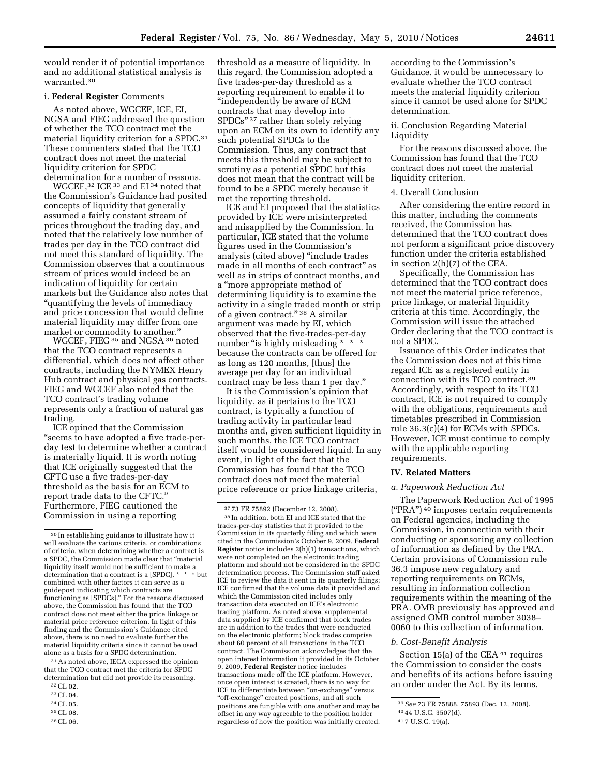would render it of potential importance and no additional statistical analysis is warranted.30

# i. **Federal Register** Comments

As noted above, WGCEF, ICE, EI, NGSA and FIEG addressed the question of whether the TCO contract met the material liquidity criterion for a SPDC.31 These commenters stated that the TCO contract does not meet the material liquidity criterion for SPDC determination for a number of reasons.

WGCEF,32 ICE 33 and EI 34 noted that the Commission's Guidance had posited concepts of liquidity that generally assumed a fairly constant stream of prices throughout the trading day, and noted that the relatively low number of trades per day in the TCO contract did not meet this standard of liquidity. The Commission observes that a continuous stream of prices would indeed be an indication of liquidity for certain markets but the Guidance also notes that ''quantifying the levels of immediacy and price concession that would define material liquidity may differ from one market or commodity to another.''

WGCEF, FIEG 35 and NGSA 36 noted that the TCO contract represents a differential, which does not affect other contracts, including the NYMEX Henry Hub contract and physical gas contracts. FIEG and WGCEF also noted that the TCO contract's trading volume represents only a fraction of natural gas trading.

ICE opined that the Commission ''seems to have adopted a five trade-perday test to determine whether a contract is materially liquid. It is worth noting that ICE originally suggested that the CFTC use a five trades-per-day threshold as the basis for an ECM to report trade data to the CFTC.'' Furthermore, FIEG cautioned the Commission in using a reporting

31As noted above, IECA expressed the opinion that the TCO contract met the criteria for SPDC determination but did not provide its reasoning.

- 32CL 02.
- 33CL 04. 34CL 05.
- 35CL 08.
- 36CL 06.

threshold as a measure of liquidity. In this regard, the Commission adopted a five trades-per-day threshold as a reporting requirement to enable it to ''independently be aware of ECM contracts that may develop into SPDCs'' 37 rather than solely relying upon an ECM on its own to identify any such potential SPDCs to the Commission. Thus, any contract that meets this threshold may be subject to scrutiny as a potential SPDC but this does not mean that the contract will be found to be a SPDC merely because it met the reporting threshold.

ICE and EI proposed that the statistics provided by ICE were misinterpreted and misapplied by the Commission. In particular, ICE stated that the volume figures used in the Commission's analysis (cited above) ''include trades made in all months of each contract'' as well as in strips of contract months, and a ''more appropriate method of determining liquidity is to examine the activity in a single traded month or strip of a given contract." 38 A similar argument was made by EI, which observed that the five-trades-per-day number "is highly misleading \* \* because the contracts can be offered for as long as 120 months, [thus] the average per day for an individual contract may be less than 1 per day.''

It is the Commission's opinion that liquidity, as it pertains to the TCO contract, is typically a function of trading activity in particular lead months and, given sufficient liquidity in such months, the ICE TCO contract itself would be considered liquid. In any event, in light of the fact that the Commission has found that the TCO contract does not meet the material price reference or price linkage criteria,

38 In addition, both EI and ICE stated that the trades-per-day statistics that it provided to the Commission in its quarterly filing and which were cited in the Commission's October 9, 2009, **Federal Register** notice includes 2(h)(1) transactions, which were not completed on the electronic trading platform and should not be considered in the SPDC determination process. The Commission staff asked ICE to review the data it sent in its quarterly filings; ICE confirmed that the volume data it provided and which the Commission cited includes only transaction data executed on ICE's electronic trading platform. As noted above, supplemental data supplied by ICE confirmed that block trades are in addition to the trades that were conducted on the electronic platform; block trades comprise about 60 percent of all transactions in the TCO contract. The Commission acknowledges that the open interest information it provided in its October 9, 2009, **Federal Register** notice includes transactions made off the ICE platform. However, once open interest is created, there is no way for ICE to differentiate between "on-exchange" versus "off-exchange" created positions, and all such positions are fungible with one another and may be offset in any way agreeable to the position holder regardless of how the position was initially created.

according to the Commission's Guidance, it would be unnecessary to evaluate whether the TCO contract meets the material liquidity criterion since it cannot be used alone for SPDC determination.

ii. Conclusion Regarding Material Liquidity

For the reasons discussed above, the Commission has found that the TCO contract does not meet the material liquidity criterion.

#### 4. Overall Conclusion

After considering the entire record in this matter, including the comments received, the Commission has determined that the TCO contract does not perform a significant price discovery function under the criteria established in section 2(h)(7) of the CEA.

Specifically, the Commission has determined that the TCO contract does not meet the material price reference, price linkage, or material liquidity criteria at this time. Accordingly, the Commission will issue the attached Order declaring that the TCO contract is not a SPDC.

Issuance of this Order indicates that the Commission does not at this time regard ICE as a registered entity in connection with its TCO contract.39 Accordingly, with respect to its TCO contract, ICE is not required to comply with the obligations, requirements and timetables prescribed in Commission rule 36.3(c)(4) for ECMs with SPDCs. However, ICE must continue to comply with the applicable reporting requirements.

#### **IV. Related Matters**

#### *a. Paperwork Reduction Act*

The Paperwork Reduction Act of 1995 (''PRA'') 40 imposes certain requirements on Federal agencies, including the Commission, in connection with their conducting or sponsoring any collection of information as defined by the PRA. Certain provisions of Commission rule 36.3 impose new regulatory and reporting requirements on ECMs, resulting in information collection requirements within the meaning of the PRA. OMB previously has approved and assigned OMB control number 3038– 0060 to this collection of information.

#### *b. Cost-Benefit Analysis*

Section 15(a) of the CEA<sup>41</sup> requires the Commission to consider the costs and benefits of its actions before issuing an order under the Act. By its terms,

<sup>30</sup> In establishing guidance to illustrate how it will evaluate the various criteria, or combinations of criteria, when determining whether a contract is a SPDC, the Commission made clear that ''material liquidity itself would not be sufficient to make a determination that a contract is a [SPDC],  $* * *$ hut determination that a contract is a [SPDC], \* combined with other factors it can serve as a guidepost indicating which contracts are functioning as [SPDCs].'' For the reasons discussed above, the Commission has found that the TCO contract does not meet either the price linkage or material price reference criterion. In light of this finding and the Commission's Guidance cited above, there is no need to evaluate further the material liquidity criteria since it cannot be used alone as a basis for a SPDC determination.

<sup>37</sup> 73 FR 75892 (December 12, 2008).

<sup>39</sup>*See* 73 FR 75888, 75893 (Dec. 12, 2008).

<sup>40</sup> 44 U.S.C. 3507(d).

<sup>41</sup> 7 U.S.C. 19(a).